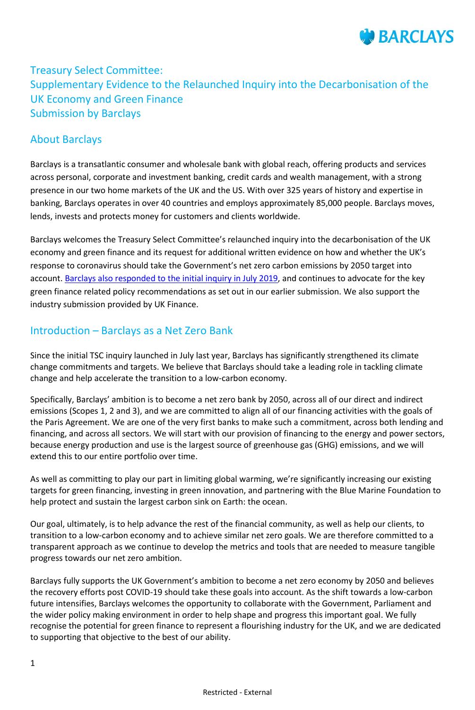

# Treasury Select Committee: Supplementary Evidence to the Relaunched Inquiry into the Decarbonisation of the UK Economy and Green Finance Submission by Barclays

### About Barclays

Barclays is a transatlantic consumer and wholesale bank with global reach, offering products and services across personal, corporate and investment banking, credit cards and wealth management, with a strong presence in our two home markets of the UK and the US. With over 325 years of history and expertise in banking, Barclays operates in over 40 countries and employs approximately 85,000 people. Barclays moves, lends, invests and protects money for customers and clients worldwide.

Barclays welcomes the Treasury Select Committee's relaunched inquiry into the decarbonisation of the UK economy and green finance and its request for additional written evidence on how and whether the UK's response to coronavirus should take the Government's net zero carbon emissions by 2050 target into account. [Barclays also responded to the initial inquiry in July](https://home.barclays/content/dam/home-barclays/documents/citizenship/our-reporting-and-policy-positions/policy-positions/Treasury-Select-Committee-Barclays-Green-Finance-Inquiry.pdf) 2019, and continues to advocate for the key green finance related policy recommendations as set out in our earlier submission. We also support the industry submission provided by UK Finance.

#### Introduction – Barclays as a Net Zero Bank

Since the initial TSC inquiry launched in July last year, Barclays has significantly strengthened its climate change commitments and targets. We believe that Barclays should take a leading role in tackling climate change and help accelerate the transition to a low-carbon economy.

Specifically, Barclays' ambition is to become a net zero bank by 2050, across all of our direct and indirect emissions (Scopes 1, 2 and 3), and we are committed to align all of our financing activities with the goals of the Paris Agreement. We are one of the very first banks to make such a commitment, across both lending and financing, and across all sectors. We will start with our provision of financing to the energy and power sectors, because energy production and use is the largest source of greenhouse gas (GHG) emissions, and we will extend this to our entire portfolio over time.

As well as committing to play our part in limiting global warming, we're significantly increasing our existing targets for green financing, investing in green innovation, and partnering with the Blue Marine Foundation to help protect and sustain the largest carbon sink on Earth: the ocean.

Our goal, ultimately, is to help advance the rest of the financial community, as well as help our clients, to transition to a low-carbon economy and to achieve similar net zero goals. We are therefore committed to a transparent approach as we continue to develop the metrics and tools that are needed to measure tangible progress towards our net zero ambition.

Barclays fully supports the UK Government's ambition to become a net zero economy by 2050 and believes the recovery efforts post COVID-19 should take these goals into account. As the shift towards a low-carbon future intensifies, Barclays welcomes the opportunity to collaborate with the Government, Parliament and the wider policy making environment in order to help shape and progress this important goal. We fully recognise the potential for green finance to represent a flourishing industry for the UK, and we are dedicated to supporting that objective to the best of our ability.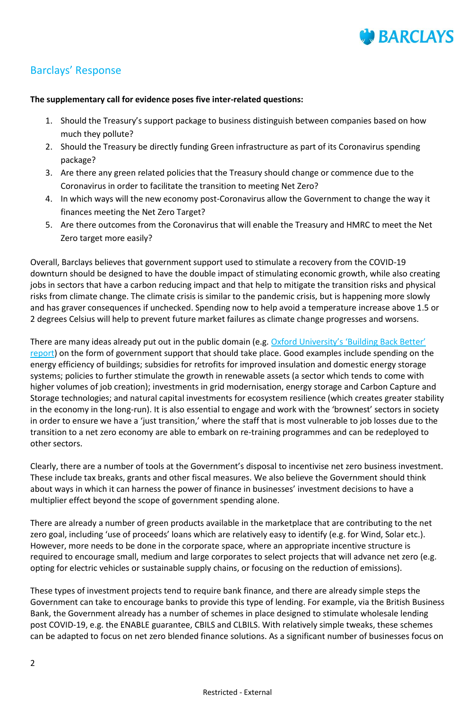

## Barclays' Response

#### **The supplementary call for evidence poses five inter-related questions:**

- 1. Should the Treasury's support package to business distinguish between companies based on how much they pollute?
- 2. Should the Treasury be directly funding Green infrastructure as part of its Coronavirus spending package?
- 3. Are there any green related policies that the Treasury should change or commence due to the Coronavirus in order to facilitate the transition to meeting Net Zero?
- 4. In which ways will the new economy post-Coronavirus allow the Government to change the way it finances meeting the Net Zero Target?
- 5. Are there outcomes from the Coronavirus that will enable the Treasury and HMRC to meet the Net Zero target more easily?

Overall, Barclays believes that government support used to stimulate a recovery from the COVID-19 downturn should be designed to have the double impact of stimulating economic growth, while also creating jobs in sectors that have a carbon reducing impact and that help to mitigate the transition risks and physical risks from climate change. The climate crisis is similar to the pandemic crisis, but is happening more slowly and has graver consequences if unchecked. Spending now to help avoid a temperature increase above 1.5 or 2 degrees Celsius will help to prevent future market failures as climate change progresses and worsens.

There are many ideas already put out in the public domain (e.g. Oxford University's 'Building Back Better' [report\)](http://www.ox.ac.uk/news/2020-05-05-building-back-better-green-covid-19-recovery-packages-will-boost-economic-growth-and) on the form of government support that should take place. Good examples include spending on the energy efficiency of buildings; subsidies for retrofits for improved insulation and domestic energy storage systems; policies to further stimulate the growth in renewable assets (a sector which tends to come with higher volumes of job creation); investments in grid modernisation, energy storage and Carbon Capture and Storage technologies; and natural capital investments for ecosystem resilience (which creates greater stability in the economy in the long-run). It is also essential to engage and work with the 'brownest' sectors in society in order to ensure we have a 'just transition,' where the staff that is most vulnerable to job losses due to the transition to a net zero economy are able to embark on re-training programmes and can be redeployed to other sectors.

Clearly, there are a number of tools at the Government's disposal to incentivise net zero business investment. These include tax breaks, grants and other fiscal measures. We also believe the Government should think about ways in which it can harness the power of finance in businesses' investment decisions to have a multiplier effect beyond the scope of government spending alone.

There are already a number of green products available in the marketplace that are contributing to the net zero goal, including 'use of proceeds' loans which are relatively easy to identify (e.g. for Wind, Solar etc.). However, more needs to be done in the corporate space, where an appropriate incentive structure is required to encourage small, medium and large corporates to select projects that will advance net zero (e.g. opting for electric vehicles or sustainable supply chains, or focusing on the reduction of emissions).

These types of investment projects tend to require bank finance, and there are already simple steps the Government can take to encourage banks to provide this type of lending. For example, via the British Business Bank, the Government already has a number of schemes in place designed to stimulate wholesale lending post COVID-19, e.g. the ENABLE guarantee, CBILS and CLBILS. With relatively simple tweaks, these schemes can be adapted to focus on net zero blended finance solutions. As a significant number of businesses focus on